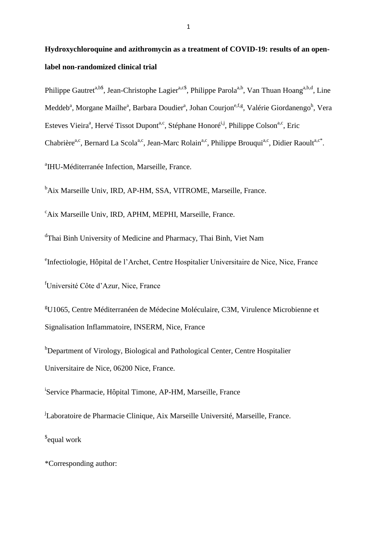# **Hydroxychloroquine and azithromycin as a treatment of COVID-19: results of an openlabel non-randomized clinical trial**

Philippe Gautret<sup>a,b\$</sup>, Jean-Christophe Lagier<sup>a,c\$</sup>, Philippe Parola<sup>a,b</sup>, Van Thuan Hoang<sup>a,b,d</sup>, Line Meddeb<sup>a</sup>, Morgane Mailhe<sup>a</sup>, Barbara Doudier<sup>a</sup>, Johan Courjon<sup>e,f,g</sup>, Valérie Giordanengo<sup>h</sup>, Vera Esteves Vieira<sup>a</sup>, Hervé Tissot Dupont<sup>a,c</sup>, Stéphane Honoré<sup>i,j</sup>, Philippe Colson<sup>a,c</sup>, Eric Chabrière<sup>a,c</sup>, Bernard La Scola<sup>a,c</sup>, Jean-Marc Rolain<sup>a,c</sup>, Philippe Brouqui<sup>a,c</sup>, Didier Raoult<sup>a,c\*</sup>.

<sup>a</sup>IHU-Méditerranée Infection, Marseille, France.

<sup>b</sup>Aix Marseille Univ, IRD, AP-HM, SSA, VITROME, Marseille, France.

<sup>c</sup>Aix Marseille Univ, IRD, APHM, MEPHI, Marseille, France.

<sup>d</sup>Thai Binh University of Medicine and Pharmacy, Thai Binh, Viet Nam

e Infectiologie, Hôpital de l'Archet, Centre Hospitalier Universitaire de Nice, Nice, France

<sup>f</sup>Université Côte d'Azur, Nice, France

<sup>g</sup>U1065, Centre Méditerranéen de Médecine Moléculaire, C3M, Virulence Microbienne et Signalisation Inflammatoire, INSERM, Nice, France

<sup>h</sup>Department of Virology, Biological and Pathological Center, Centre Hospitalier Universitaire de Nice, 06200 Nice, France.

<sup>i</sup>Service Pharmacie, Hôpital Timone, AP-HM, Marseille, France

<sup>j</sup>Laboratoire de Pharmacie Clinique, Aix Marseille Université, Marseille, France. \$ equal work

\*Corresponding author: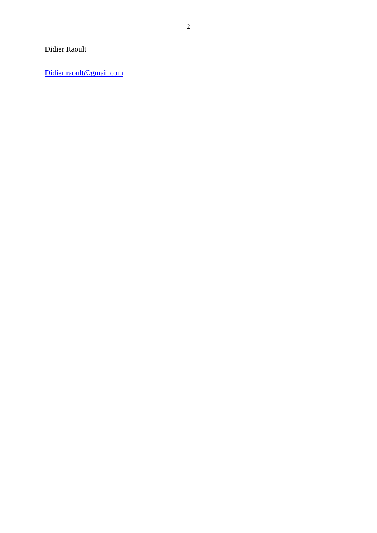# Didier Raoult

[Didier.raoult@gmail.com](mailto:Didier.raoult@gmail.com)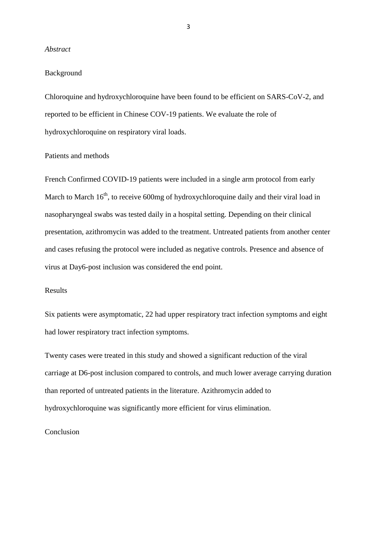## *Abstract*

# Background

Chloroquine and hydroxychloroquine have been found to be efficient on SARS-CoV-2, and reported to be efficient in Chinese COV-19 patients. We evaluate the role of hydroxychloroquine on respiratory viral loads.

# Patients and methods

French Confirmed COVID-19 patients were included in a single arm protocol from early March to March  $16<sup>th</sup>$ , to receive 600mg of hydroxychloroquine daily and their viral load in nasopharyngeal swabs was tested daily in a hospital setting. Depending on their clinical presentation, azithromycin was added to the treatment. Untreated patients from another center and cases refusing the protocol were included as negative controls. Presence and absence of virus at Day6-post inclusion was considered the end point.

# Results

Six patients were asymptomatic, 22 had upper respiratory tract infection symptoms and eight had lower respiratory tract infection symptoms.

Twenty cases were treated in this study and showed a significant reduction of the viral carriage at D6-post inclusion compared to controls, and much lower average carrying duration than reported of untreated patients in the literature. Azithromycin added to hydroxychloroquine was significantly more efficient for virus elimination.

# **Conclusion**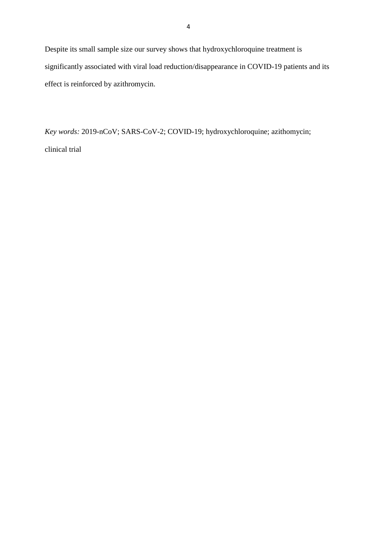Despite its small sample size our survey shows that hydroxychloroquine treatment is significantly associated with viral load reduction/disappearance in COVID-19 patients and its effect is reinforced by azithromycin.

*Key words:* 2019-nCoV; SARS-CoV-2; COVID-19; hydroxychloroquine; azithomycin; clinical trial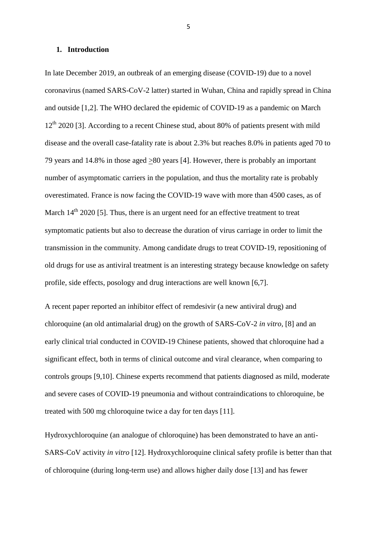## **1. Introduction**

In late December 2019, an outbreak of an emerging disease (COVID-19) due to a novel coronavirus (named SARS-CoV-2 latter) started in Wuhan, China and rapidly spread in China and outside [1,2]. The WHO declared the epidemic of COVID-19 as a pandemic on March  $12<sup>th</sup>$  2020 [3]. According to a recent Chinese stud, about 80% of patients present with mild disease and the overall case-fatality rate is about 2.3% but reaches 8.0% in patients aged 70 to 79 years and 14.8% in those aged >80 years [4]. However, there is probably an important number of asymptomatic carriers in the population, and thus the mortality rate is probably overestimated. France is now facing the COVID-19 wave with more than 4500 cases, as of March  $14<sup>th</sup>$  2020 [5]. Thus, there is an urgent need for an effective treatment to treat symptomatic patients but also to decrease the duration of virus carriage in order to limit the transmission in the community. Among candidate drugs to treat COVID-19, repositioning of old drugs for use as antiviral treatment is an interesting strategy because knowledge on safety profile, side effects, posology and drug interactions are well known [6,7].

A recent paper reported an inhibitor effect of remdesivir (a new antiviral drug) and chloroquine (an old antimalarial drug) on the growth of SARS-CoV-2 *in vitro,* [8] and an early clinical trial conducted in COVID-19 Chinese patients, showed that chloroquine had a significant effect, both in terms of clinical outcome and viral clearance, when comparing to controls groups [9,10]. Chinese experts recommend that patients diagnosed as mild, moderate and severe cases of COVID-19 pneumonia and without contraindications to chloroquine, be treated with 500 mg chloroquine twice a day for ten days [11].

Hydroxychloroquine (an analogue of chloroquine) has been demonstrated to have an anti-SARS-CoV activity *in vitro* [12]. Hydroxychloroquine clinical safety profile is better than that of chloroquine (during long-term use) and allows higher daily dose [13] and has fewer

5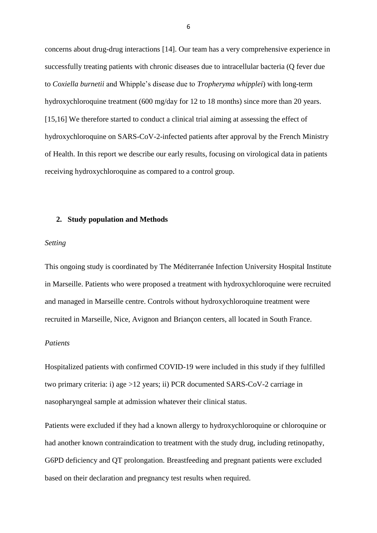concerns about drug-drug interactions [14]. Our team has a very comprehensive experience in successfully treating patients with chronic diseases due to intracellular bacteria (Q fever due to *Coxiella burnetii* and Whipple's disease due to *Tropheryma whipplei*) with long-term hydroxychloroquine treatment (600 mg/day for 12 to 18 months) since more than 20 years. [15,16] We therefore started to conduct a clinical trial aiming at assessing the effect of hydroxychloroquine on SARS-CoV-2-infected patients after approval by the French Ministry of Health. In this report we describe our early results, focusing on virological data in patients receiving hydroxychloroquine as compared to a control group.

## **2. Study population and Methods**

#### *Setting*

This ongoing study is coordinated by The Méditerranée Infection University Hospital Institute in Marseille. Patients who were proposed a treatment with hydroxychloroquine were recruited and managed in Marseille centre. Controls without hydroxychloroquine treatment were recruited in Marseille, Nice, Avignon and Briançon centers, all located in South France.

# *Patients*

Hospitalized patients with confirmed COVID-19 were included in this study if they fulfilled two primary criteria: i) age >12 years; ii) PCR documented SARS-CoV-2 carriage in nasopharyngeal sample at admission whatever their clinical status.

Patients were excluded if they had a known allergy to hydroxychloroquine or chloroquine or had another known contraindication to treatment with the study drug, including retinopathy, G6PD deficiency and QT prolongation. Breastfeeding and pregnant patients were excluded based on their declaration and pregnancy test results when required.

6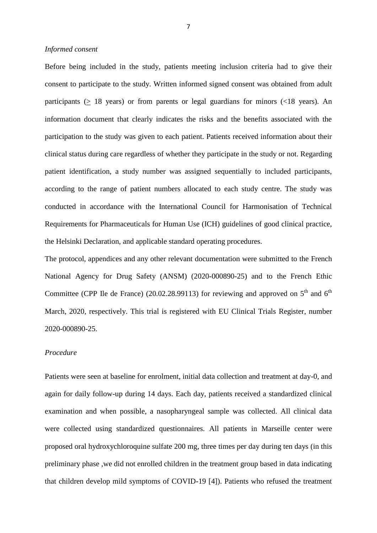## *Informed consent*

Before being included in the study, patients meeting inclusion criteria had to give their consent to participate to the study. Written informed signed consent was obtained from adult participants ( $\geq$  18 years) or from parents or legal guardians for minors (<18 years). An information document that clearly indicates the risks and the benefits associated with the participation to the study was given to each patient. Patients received information about their clinical status during care regardless of whether they participate in the study or not. Regarding patient identification, a study number was assigned sequentially to included participants, according to the range of patient numbers allocated to each study centre. The study was conducted in accordance with the International Council for Harmonisation of Technical Requirements for Pharmaceuticals for Human Use (ICH) guidelines of good clinical practice, the Helsinki Declaration, and applicable standard operating procedures.

The protocol, appendices and any other relevant documentation were submitted to the French National Agency for Drug Safety (ANSM) (2020-000890-25) and to the French Ethic Committee (CPP Ile de France) (20.02.28.99113) for reviewing and approved on  $5<sup>th</sup>$  and  $6<sup>th</sup>$ March, 2020, respectively. This trial is registered with EU Clinical Trials Register, number 2020-000890-25.

## *Procedure*

Patients were seen at baseline for enrolment, initial data collection and treatment at day-0, and again for daily follow-up during 14 days. Each day, patients received a standardized clinical examination and when possible, a nasopharyngeal sample was collected. All clinical data were collected using standardized questionnaires. All patients in Marseille center were proposed oral hydroxychloroquine sulfate 200 mg, three times per day during ten days (in this preliminary phase ,we did not enrolled children in the treatment group based in data indicating that children develop mild symptoms of COVID-19 [4]). Patients who refused the treatment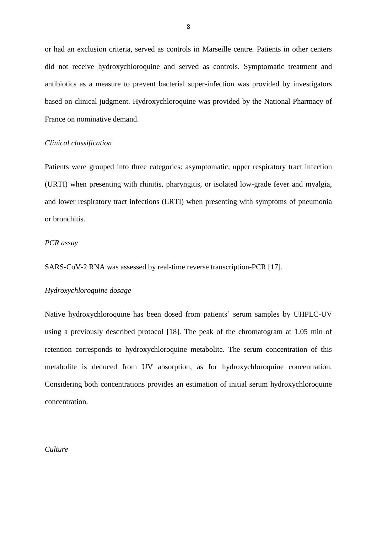or had an exclusion criteria, served as controls in Marseille centre. Patients in other centers did not receive hydroxychloroquine and served as controls. Symptomatic treatment and antibiotics as a measure to prevent bacterial super-infection was provided by investigators based on clinical judgment. Hydroxychloroquine was provided by the National Pharmacy of France on nominative demand.

## *Clinical classification*

Patients were grouped into three categories: asymptomatic, upper respiratory tract infection (URTI) when presenting with rhinitis, pharyngitis, or isolated low-grade fever and myalgia, and lower respiratory tract infections (LRTI) when presenting with symptoms of pneumonia or bronchitis.

# *PCR assay*

SARS-CoV-2 RNA was assessed by real-time reverse transcription-PCR [17].

# *Hydroxychloroquine dosage*

Native hydroxychloroquine has been dosed from patients' serum samples by UHPLC-UV using a previously described protocol [18]. The peak of the chromatogram at 1.05 min of retention corresponds to hydroxychloroquine metabolite. The serum concentration of this metabolite is deduced from UV absorption, as for hydroxychloroquine concentration. Considering both concentrations provides an estimation of initial serum hydroxychloroquine concentration.

## *Culture*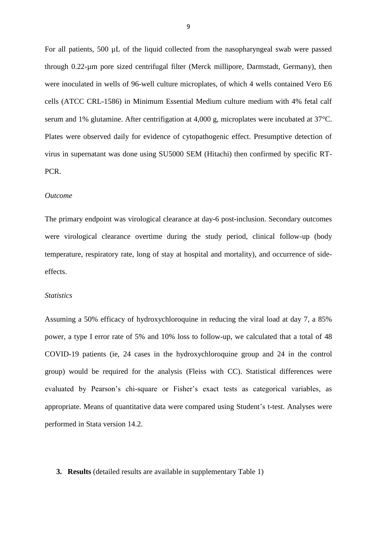For all patients, 500 µL of the liquid collected from the nasopharyngeal swab were passed through 0.22-µm pore sized centrifugal filter (Merck millipore, Darmstadt, Germany), then were inoculated in wells of 96-well culture microplates, of which 4 wells contained Vero E6 cells (ATCC CRL-1586) in Minimum Essential Medium culture medium with 4% fetal calf serum and 1% glutamine. After centrifigation at 4,000 g, microplates were incubated at 37°C. Plates were observed daily for evidence of cytopathogenic effect. Presumptive detection of virus in supernatant was done using SU5000 SEM (Hitachi) then confirmed by specific RT-PCR.

#### *Outcome*

The primary endpoint was virological clearance at day-6 post-inclusion. Secondary outcomes were virological clearance overtime during the study period, clinical follow-up (body temperature, respiratory rate, long of stay at hospital and mortality), and occurrence of sideeffects.

## *Statistics*

Assuming a 50% efficacy of hydroxychloroquine in reducing the viral load at day 7, a 85% power, a type I error rate of 5% and 10% loss to follow-up, we calculated that a total of 48 COVID-19 patients (ie, 24 cases in the hydroxychloroquine group and 24 in the control group) would be required for the analysis (Fleiss with CC). Statistical differences were evaluated by Pearson's chi-square or Fisher's exact tests as categorical variables, as appropriate. Means of quantitative data were compared using Student's t-test. Analyses were performed in Stata version 14.2.

#### **3. Results** (detailed results are available in supplementary Table 1)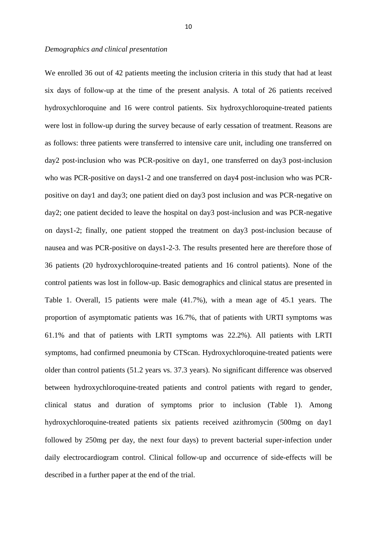## *Demographics and clinical presentation*

We enrolled 36 out of 42 patients meeting the inclusion criteria in this study that had at least six days of follow-up at the time of the present analysis. A total of 26 patients received hydroxychloroquine and 16 were control patients. Six hydroxychloroquine-treated patients were lost in follow-up during the survey because of early cessation of treatment. Reasons are as follows: three patients were transferred to intensive care unit, including one transferred on day2 post-inclusion who was PCR-positive on day1, one transferred on day3 post-inclusion who was PCR-positive on days1-2 and one transferred on day4 post-inclusion who was PCRpositive on day1 and day3; one patient died on day3 post inclusion and was PCR-negative on day2; one patient decided to leave the hospital on day3 post-inclusion and was PCR-negative on days1-2; finally, one patient stopped the treatment on day3 post-inclusion because of nausea and was PCR-positive on days1-2-3. The results presented here are therefore those of 36 patients (20 hydroxychloroquine-treated patients and 16 control patients). None of the control patients was lost in follow-up. Basic demographics and clinical status are presented in Table 1. Overall, 15 patients were male (41.7%), with a mean age of 45.1 years. The proportion of asymptomatic patients was 16.7%, that of patients with URTI symptoms was 61.1% and that of patients with LRTI symptoms was 22.2%). All patients with LRTI symptoms, had confirmed pneumonia by CTScan. Hydroxychloroquine-treated patients were older than control patients (51.2 years vs. 37.3 years). No significant difference was observed between hydroxychloroquine-treated patients and control patients with regard to gender, clinical status and duration of symptoms prior to inclusion (Table 1). Among hydroxychloroquine-treated patients six patients received azithromycin (500mg on day1 followed by 250mg per day, the next four days) to prevent bacterial super-infection under daily electrocardiogram control. Clinical follow-up and occurrence of side-effects will be described in a further paper at the end of the trial.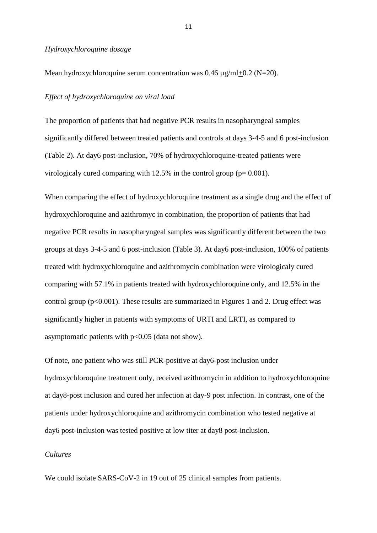## *Hydroxychloroquine dosage*

Mean hydroxychloroquine serum concentration was  $0.46 \text{ u}\text{g/ml} + 0.2 \text{ (N=20)}$ .

## *Effect of hydroxychloroquine on viral load*

The proportion of patients that had negative PCR results in nasopharyngeal samples significantly differed between treated patients and controls at days 3-4-5 and 6 post-inclusion (Table 2). At day6 post-inclusion, 70% of hydroxychloroquine-treated patients were virologicaly cured comparing with  $12.5\%$  in the control group ( $p= 0.001$ ).

When comparing the effect of hydroxychloroquine treatment as a single drug and the effect of hydroxychloroquine and azithromyc in combination, the proportion of patients that had negative PCR results in nasopharyngeal samples was significantly different between the two groups at days 3-4-5 and 6 post-inclusion (Table 3). At day6 post-inclusion, 100% of patients treated with hydroxychloroquine and azithromycin combination were virologicaly cured comparing with 57.1% in patients treated with hydroxychloroquine only, and 12.5% in the control group ( $p<0.001$ ). These results are summarized in Figures 1 and 2. Drug effect was significantly higher in patients with symptoms of URTI and LRTI, as compared to asymptomatic patients with  $p<0.05$  (data not show).

Of note, one patient who was still PCR-positive at day6-post inclusion under hydroxychloroquine treatment only, received azithromycin in addition to hydroxychloroquine at day8-post inclusion and cured her infection at day-9 post infection. In contrast, one of the patients under hydroxychloroquine and azithromycin combination who tested negative at day6 post-inclusion was tested positive at low titer at day8 post-inclusion.

## *Cultures*

We could isolate SARS-CoV-2 in 19 out of 25 clinical samples from patients.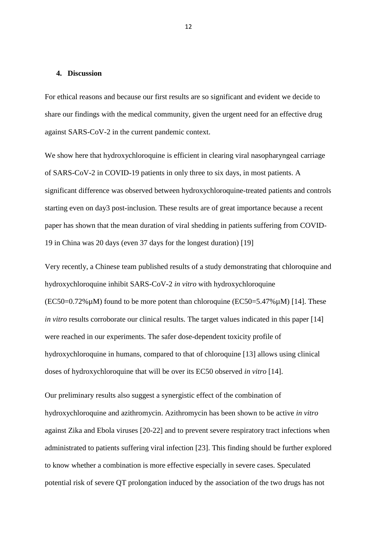# **4. Discussion**

For ethical reasons and because our first results are so significant and evident we decide to share our findings with the medical community, given the urgent need for an effective drug against SARS-CoV-2 in the current pandemic context.

We show here that hydroxychloroquine is efficient in clearing viral nasopharyngeal carriage of SARS-CoV-2 in COVID-19 patients in only three to six days, in most patients. A significant difference was observed between hydroxychloroquine-treated patients and controls starting even on day3 post-inclusion. These results are of great importance because a recent paper has shown that the mean duration of viral shedding in patients suffering from COVID-19 in China was 20 days (even 37 days for the longest duration) [19]

Very recently, a Chinese team published results of a study demonstrating that chloroquine and hydroxychloroquine inhibit SARS-CoV-2 *in vitro* with hydroxychloroquine  $(EC50=0.72\% \mu M)$  found to be more potent than chloroquine  $(EC50=5.47\% \mu M)$  [14]. These *in vitro* results corroborate our clinical results. The target values indicated in this paper [14] were reached in our experiments. The safer dose-dependent toxicity profile of hydroxychloroquine in humans, compared to that of chloroquine [13] allows using clinical doses of hydroxychloroquine that will be over its EC50 observed *in vitro* [14].

Our preliminary results also suggest a synergistic effect of the combination of hydroxychloroquine and azithromycin. Azithromycin has been shown to be active *in vitro* against Zika and Ebola viruses [20-22] and to prevent severe respiratory tract infections when administrated to patients suffering viral infection [23]. This finding should be further explored to know whether a combination is more effective especially in severe cases. Speculated potential risk of severe QT prolongation induced by the association of the two drugs has not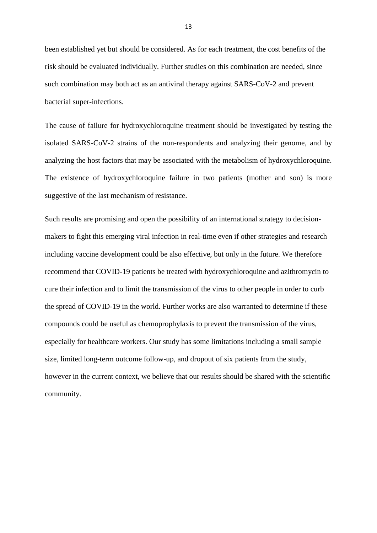been established yet but should be considered. As for each treatment, the cost benefits of the risk should be evaluated individually. Further studies on this combination are needed, since such combination may both act as an antiviral therapy against SARS-CoV-2 and prevent bacterial super-infections.

The cause of failure for hydroxychloroquine treatment should be investigated by testing the isolated SARS-CoV-2 strains of the non-respondents and analyzing their genome, and by analyzing the host factors that may be associated with the metabolism of hydroxychloroquine. The existence of hydroxychloroquine failure in two patients (mother and son) is more suggestive of the last mechanism of resistance.

Such results are promising and open the possibility of an international strategy to decisionmakers to fight this emerging viral infection in real-time even if other strategies and research including vaccine development could be also effective, but only in the future. We therefore recommend that COVID-19 patients be treated with hydroxychloroquine and azithromycin to cure their infection and to limit the transmission of the virus to other people in order to curb the spread of COVID-19 in the world. Further works are also warranted to determine if these compounds could be useful as chemoprophylaxis to prevent the transmission of the virus, especially for healthcare workers. Our study has some limitations including a small sample size, limited long-term outcome follow-up, and dropout of six patients from the study, however in the current context, we believe that our results should be shared with the scientific community.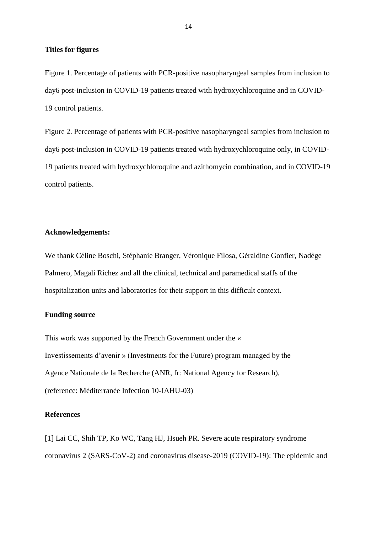## **Titles for figures**

Figure 1. Percentage of patients with PCR-positive nasopharyngeal samples from inclusion to day6 post-inclusion in COVID-19 patients treated with hydroxychloroquine and in COVID-19 control patients.

Figure 2. Percentage of patients with PCR-positive nasopharyngeal samples from inclusion to day6 post-inclusion in COVID-19 patients treated with hydroxychloroquine only, in COVID-19 patients treated with hydroxychloroquine and azithomycin combination, and in COVID-19 control patients.

# **Acknowledgements:**

We thank Céline Boschi, Stéphanie Branger, Véronique Filosa, Géraldine Gonfier, Nadège Palmero, Magali Richez and all the clinical, technical and paramedical staffs of the hospitalization units and laboratories for their support in this difficult context.

## **Funding source**

This work was supported by the French Government under the « Investissements d'avenir » (Investments for the Future) program managed by the Agence Nationale de la Recherche (ANR, fr: National Agency for Research), (reference: Méditerranée Infection 10-IAHU-03)

# **References**

[1] Lai CC, Shih TP, Ko WC, Tang HJ, Hsueh PR. Severe acute respiratory syndrome coronavirus 2 (SARS-CoV-2) and coronavirus disease-2019 (COVID-19): The epidemic and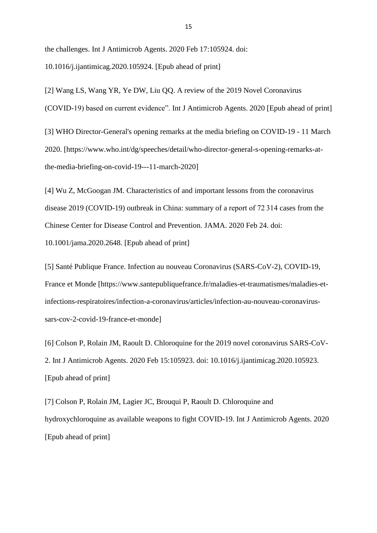the challenges. Int J Antimicrob Agents. 2020 Feb 17:105924. doi: 10.1016/j.ijantimicag.2020.105924. [Epub ahead of print]

[2] Wang LS, Wang YR, Ye DW, Liu QQ. A review of the 2019 Novel Coronavirus (COVID-19) based on current evidence". Int J Antimicrob Agents. 2020 [Epub ahead of print]

[3] WHO Director-General's opening remarks at the media briefing on COVID-19 - 11 March 2020. [https://www.who.int/dg/speeches/detail/who-director-general-s-opening-remarks-atthe-media-briefing-on-covid-19---11-march-2020]

[4] Wu Z, McGoogan JM. Characteristics of and important lessons from the coronavirus disease 2019 (COVID-19) outbreak in China: summary of a report of 72 314 cases from the Chinese Center for Disease Control and Prevention. JAMA. 2020 Feb 24. doi:

10.1001/jama.2020.2648. [Epub ahead of print]

[5] Santé Publique France. Infection au nouveau Coronavirus (SARS-CoV-2), COVID-19, France et Monde [https://www.santepubliquefrance.fr/maladies-et-traumatismes/maladies-etinfections-respiratoires/infection-a-coronavirus/articles/infection-au-nouveau-coronavirussars-cov-2-covid-19-france-et-monde]

[6] Colson P, Rolain JM, Raoult D. Chloroquine for the 2019 novel coronavirus SARS-CoV-2. Int J Antimicrob Agents. 2020 Feb 15:105923. doi: 10.1016/j.ijantimicag.2020.105923. [Epub ahead of print]

[7] Colson P, Rolain JM, Lagier JC, Brouqui P, Raoult D. Chloroquine and hydroxychloroquine as available weapons to fight COVID-19. Int J Antimicrob Agents. 2020 [Epub ahead of print]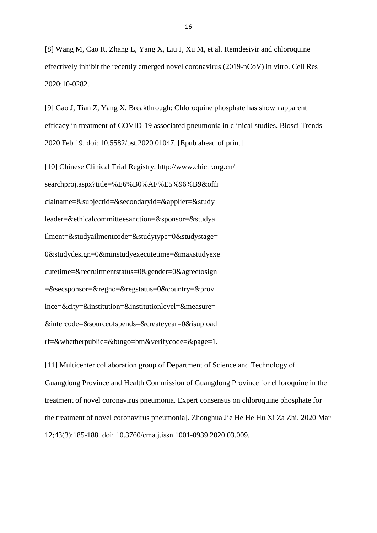[8] Wang M, Cao R, Zhang L, Yang X, Liu J, Xu M, et al. Remdesivir and chloroquine effectively inhibit the recently emerged novel coronavirus (2019-nCoV) in vitro. Cell Res 2020;10-0282.

[9] Gao J, Tian Z, Yang X. Breakthrough: Chloroquine phosphate has shown apparent efficacy in treatment of COVID-19 associated pneumonia in clinical studies. Biosci Trends 2020 Feb 19. doi: 10.5582/bst.2020.01047. [Epub ahead of print]

[10] Chinese Clinical Trial Registry. http://www.chictr.org.cn/ searchproj.aspx?title=%E6%B0%AF%E5%96%B9&offi cialname=&subjectid=&secondaryid=&applier=&study leader=&ethicalcommitteesanction=&sponsor=&studya ilment=&studyailmentcode=&studytype=0&studystage= 0&studydesign=0&minstudyexecutetime=&maxstudyexe cutetime=&recruitmentstatus=0&gender=0&agreetosign  $=\&secsponsor=\&regno=\&regstatus=0\&country=\&prov$ ince=&city=&institution=&institutionlevel=&measure= &intercode=&sourceofspends=&createyear=0&isupload rf=&whetherpublic=&btngo=btn&verifycode=&page=1.

[11] Multicenter collaboration group of Department of Science and Technology of Guangdong Province and Health Commission of Guangdong Province for chloroquine in the treatment of novel coronavirus pneumonia. Expert consensus on chloroquine phosphate for the treatment of novel coronavirus pneumonia]. Zhonghua Jie He He Hu Xi Za Zhi. 2020 Mar 12;43(3):185-188. doi: 10.3760/cma.j.issn.1001-0939.2020.03.009.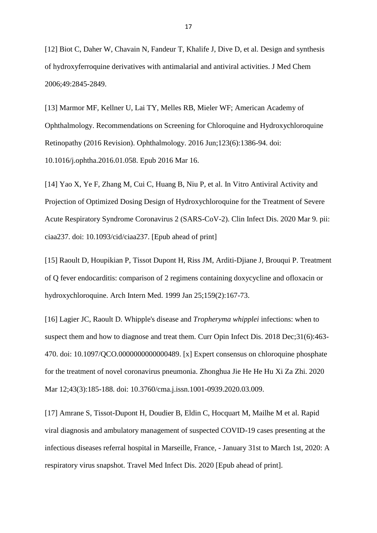[12] Biot C, Daher W, Chavain N, Fandeur T, Khalife J, Dive D, et al. Design and synthesis of hydroxyferroquine derivatives with antimalarial and antiviral activities. J Med Chem 2006;49:2845-2849.

[13] Marmor MF, Kellner U, Lai TY, Melles RB, Mieler WF; American Academy of Ophthalmology. Recommendations on Screening for Chloroquine and Hydroxychloroquine Retinopathy (2016 Revision). Ophthalmology. 2016 Jun;123(6):1386-94. doi: 10.1016/j.ophtha.2016.01.058. Epub 2016 Mar 16.

[14] Yao X, Ye F, Zhang M, Cui C, Huang B, Niu P, et al. In Vitro Antiviral Activity and Projection of Optimized Dosing Design of Hydroxychloroquine for the Treatment of Severe Acute Respiratory Syndrome Coronavirus 2 (SARS-CoV-2). Clin Infect Dis. 2020 Mar 9. pii: ciaa237. doi: 10.1093/cid/ciaa237. [Epub ahead of print]

[15] Raoult D, Houpikian P, Tissot Dupont H, Riss JM, Arditi-Djiane J, Brouqui P. Treatment of Q fever endocarditis: comparison of 2 regimens containing doxycycline and ofloxacin or hydroxychloroquine. Arch Intern Med. 1999 Jan 25;159(2):167-73.

[16] Lagier JC, Raoult D. Whipple's disease and *Tropheryma whipplei* infections: when to suspect them and how to diagnose and treat them. Curr Opin Infect Dis. 2018 Dec; 31(6): 463-470. doi: 10.1097/QCO.0000000000000489. [x] Expert consensus on chloroquine phosphate for the treatment of novel coronavirus pneumonia. Zhonghua Jie He He Hu Xi Za Zhi. 2020 Mar 12;43(3):185-188. doi: 10.3760/cma.j.issn.1001-0939.2020.03.009.

[17] Amrane S, Tissot-Dupont H, Doudier B, Eldin C, Hocquart M, Mailhe M et al. Rapid viral diagnosis and ambulatory management of suspected COVID-19 cases presenting at the infectious diseases referral hospital in Marseille, France, - January 31st to March 1st, 2020: A respiratory virus snapshot. Travel Med Infect Dis. 2020 [Epub ahead of print].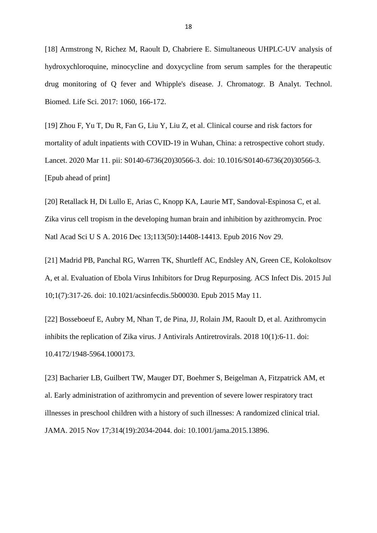[18] Armstrong N, Richez M, Raoult D, Chabriere E. Simultaneous UHPLC-UV analysis of hydroxychloroquine, minocycline and doxycycline from serum samples for the therapeutic drug monitoring of Q fever and Whipple's disease. J. Chromatogr. B Analyt. Technol. Biomed. Life Sci. 2017: 1060, 166-172.

[19] Zhou F, Yu T, Du R, Fan G, Liu Y, Liu Z, et al. Clinical course and risk factors for mortality of adult inpatients with COVID-19 in Wuhan, China: a retrospective cohort study. Lancet. 2020 Mar 11. pii: S0140-6736(20)30566-3. doi: 10.1016/S0140-6736(20)30566-3. [Epub ahead of print]

[20] Retallack H, Di Lullo E, Arias C, Knopp KA, Laurie MT, Sandoval-Espinosa C, et al. Zika virus cell tropism in the developing human brain and inhibition by azithromycin. Proc Natl Acad Sci U S A. 2016 Dec 13;113(50):14408-14413. Epub 2016 Nov 29.

[21] Madrid PB, Panchal RG, Warren TK, Shurtleff AC, Endsley AN, Green CE, Kolokoltsov A, et al. Evaluation of Ebola Virus Inhibitors for Drug Repurposing. ACS Infect Dis. 2015 Jul 10;1(7):317-26. doi: 10.1021/acsinfecdis.5b00030. Epub 2015 May 11.

[22] Bosseboeuf E, Aubry M, Nhan T, de Pina, JJ, Rolain JM, Raoult D, et al. Azithromycin inhibits the replication of Zika virus. J Antivirals Antiretrovirals. 2018 10(1):6-11. doi: 10.4172/1948-5964.1000173.

[23] Bacharier LB, Guilbert TW, Mauger DT, Boehmer S, Beigelman A, Fitzpatrick AM, et al. Early administration of azithromycin and prevention of severe lower respiratory tract illnesses in preschool children with a history of such illnesses: A randomized clinical trial. JAMA. 2015 Nov 17;314(19):2034-2044. doi: 10.1001/jama.2015.13896.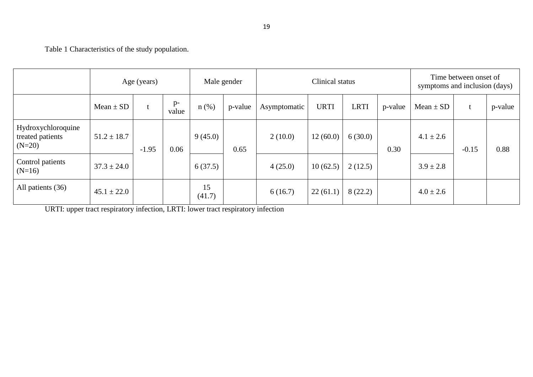Table 1 Characteristics of the study population.

|                                                    | Age (years)     |         |                 | Male gender        |      |              | Time between onset of<br>symptoms and inclusion (days) |             |         |               |         |         |
|----------------------------------------------------|-----------------|---------|-----------------|--------------------|------|--------------|--------------------------------------------------------|-------------|---------|---------------|---------|---------|
|                                                    | Mean $\pm$ SD   |         | $p-$<br>value   | $n$ (%)<br>p-value |      | Asymptomatic | <b>URTI</b>                                            | <b>LRTI</b> | p-value | $Mean \pm SD$ |         | p-value |
| Hydroxychloroquine<br>treated patients<br>$(N=20)$ | $51.2 \pm 18.7$ | $-1.95$ | 9(45.0)<br>0.06 |                    | 0.65 | 2(10.0)      | 12(60.0)                                               | 6(30.0)     | 0.30    | $4.1 \pm 2.6$ | $-0.15$ | 0.88    |
| Control patients<br>$(N=16)$                       | $37.3 \pm 24.0$ |         |                 | 6(37.5)            |      | 4(25.0)      | 10(62.5)                                               | 2(12.5)     |         | $3.9 \pm 2.8$ |         |         |
| All patients (36)                                  | $45.1 \pm 22.0$ |         |                 | 15<br>(41.7)       |      | 6(16.7)      | 22(61.1)                                               | 8(22.2)     |         | $4.0 \pm 2.6$ |         |         |

URTI: upper tract respiratory infection, LRTI: lower tract respiratory infection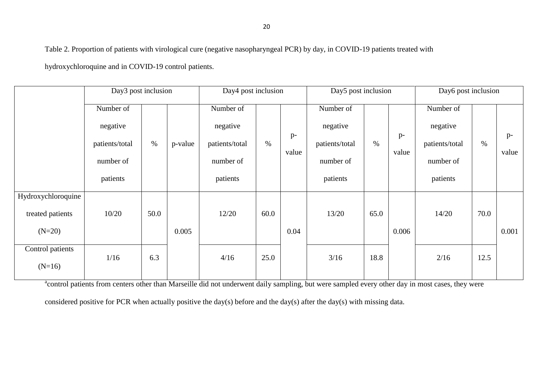Table 2. Proportion of patients with virological cure (negative nasopharyngeal PCR) by day, in COVID-19 patients treated with

hydroxychloroquine and in COVID-19 control patients.

|                    | Day3 post inclusion    |      |         |                | Day4 post inclusion<br>Day5 post inclusion |               |                |      |       | Day6 post inclusion |      |       |  |
|--------------------|------------------------|------|---------|----------------|--------------------------------------------|---------------|----------------|------|-------|---------------------|------|-------|--|
|                    | Number of              |      |         | Number of      |                                            |               | Number of      |      |       | Number of           |      |       |  |
|                    | negative               |      |         | negative       |                                            |               | negative       |      |       | negative            |      |       |  |
|                    | $\%$<br>patients/total |      | p-value | patients/total | $\%$                                       | $p-$<br>value | patients/total | $\%$ | $p-$  | patients/total      | $\%$ | $p-$  |  |
|                    | number of              |      |         | number of      |                                            |               | number of      |      | value | number of           |      | value |  |
|                    | patients               |      |         | patients       |                                            |               | patients       |      |       | patients            |      |       |  |
| Hydroxychloroquine |                        |      |         |                |                                            |               |                |      |       |                     |      |       |  |
| treated patients   | 10/20                  | 50.0 |         | 12/20          | 60.0                                       |               | 13/20          | 65.0 |       | 14/20               | 70.0 |       |  |
| $(N=20)$           |                        |      | 0.005   |                |                                            |               |                |      | 0.006 |                     |      | 0.001 |  |
| Control patients   | 1/16                   | 6.3  |         | 4/16           | 25.0                                       |               | 3/16           | 18.8 |       | 2/16                | 12.5 |       |  |
| $(N=16)$           |                        |      |         |                |                                            |               |                |      |       |                     |      |       |  |

<sup>a</sup>control patients from centers other than Marseille did not underwent daily sampling, but were sampled every other day in most cases, they were

considered positive for PCR when actually positive the day(s) before and the day(s) after the day(s) with missing data.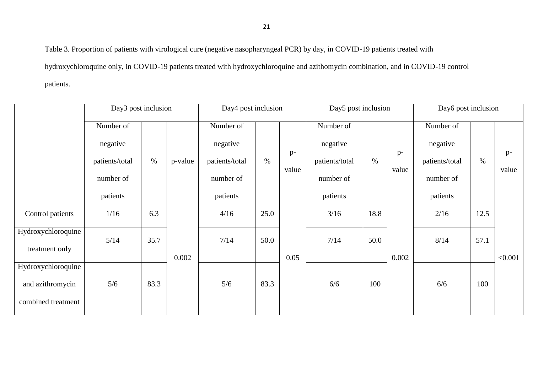Table 3. Proportion of patients with virological cure (negative nasopharyngeal PCR) by day, in COVID-19 patients treated with hydroxychloroquine only, in COVID-19 patients treated with hydroxychloroquine and azithomycin combination, and in COVID-19 control patients.

|                                      | Day3 post inclusion |       |         | Day4 post inclusion |      |               |                | Day5 post inclusion |               |                | Day6 post inclusion |               |  |  |
|--------------------------------------|---------------------|-------|---------|---------------------|------|---------------|----------------|---------------------|---------------|----------------|---------------------|---------------|--|--|
|                                      | Number of           |       |         | Number of           |      |               | Number of      |                     |               | Number of      |                     |               |  |  |
|                                      | negative            |       | p-value | negative            | $\%$ | $p-$<br>value | negative       | $\%$                |               | negative       | $\%$                |               |  |  |
|                                      | patients/total      | $\%$  |         | patients/total      |      |               | patients/total |                     | $p-$<br>value | patients/total |                     | $p-$<br>value |  |  |
|                                      | number of           |       |         | number of           |      |               | number of      |                     |               | number of      |                     |               |  |  |
|                                      | patients            |       |         | patients            |      |               | patients       |                     |               | patients       |                     |               |  |  |
| Control patients                     | 1/16                | 6.3   |         | 4/16                | 25.0 |               | 3/16           | 18.8                |               | 2/16           | 12.5                |               |  |  |
| Hydroxychloroquine<br>treatment only | 5/14                | 35.7  |         | 7/14                | 50.0 |               | 7/14           | 50.0                |               | 8/14           | 57.1                |               |  |  |
|                                      |                     | 0.002 |         |                     | 0.05 |               |                |                     | 0.002         |                |                     | < 0.001       |  |  |
| Hydroxychloroquine                   |                     |       |         |                     |      |               |                |                     |               |                |                     |               |  |  |
| and azithromycin                     | 5/6                 | 83.3  |         | 5/6                 | 83.3 |               | 6/6<br>100     |                     |               | 6/6            | 100                 |               |  |  |
| combined treatment                   |                     |       |         |                     |      |               |                |                     |               |                |                     |               |  |  |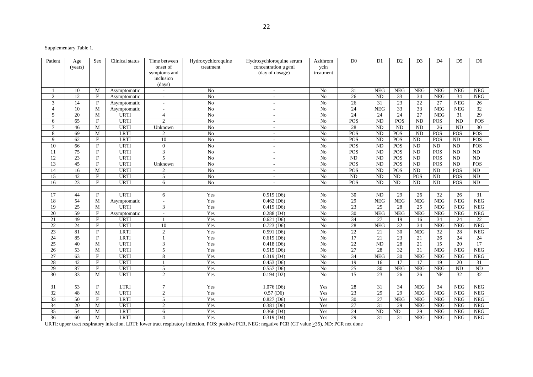Supplementary Table 1.

| Patient         | Age             | Sex          | Clinical status | Time between             | Hydroxychloroquine | Hydroxychloroquine serum | Azithrom        | $\overline{D0}$ | D <sub>1</sub>  | D2              | D <sub>3</sub>  | D <sub>4</sub>  | D5              | D <sub>6</sub>  |
|-----------------|-----------------|--------------|-----------------|--------------------------|--------------------|--------------------------|-----------------|-----------------|-----------------|-----------------|-----------------|-----------------|-----------------|-----------------|
|                 | (years)         |              |                 | onset of                 | treatment          | concentration µg/ml      | ycin            |                 |                 |                 |                 |                 |                 |                 |
|                 |                 |              |                 | symptoms and             |                    | (day of dosage)          | treatment       |                 |                 |                 |                 |                 |                 |                 |
|                 |                 |              |                 | inclusion                |                    |                          |                 |                 |                 |                 |                 |                 |                 |                 |
|                 |                 |              |                 | (days)                   |                    |                          |                 |                 |                 |                 |                 |                 |                 |                 |
|                 | 10              | M            | Asymptomatic    | $\overline{\phantom{a}}$ | N <sub>o</sub>     | $\overline{\phantom{a}}$ | N <sub>o</sub>  | 31              | <b>NEG</b>      | <b>NEG</b>      | <b>NEG</b>      | <b>NEG</b>      | <b>NEG</b>      | <b>NEG</b>      |
| 2               | 12              | F            | Asymptomatic    | $\overline{\phantom{a}}$ | N <sub>o</sub>     | $\sim$                   | N <sub>o</sub>  | 26              | <b>ND</b>       | 33              | 34              | <b>NEG</b>      | 34              | <b>NEG</b>      |
| 3               | 14              | F            | Asymptomatic    | $\sim$                   | No                 | $\sim$                   | N <sub>o</sub>  | 26              | 31              | 23              | 22              | 27              | <b>NEG</b>      | 26              |
| $\overline{4}$  | 10              | M            | Asymptomatic    | $\overline{\phantom{a}}$ | No                 | $\sim$                   | N <sub>o</sub>  | 24              | <b>NEG</b>      | 33              | 33              | <b>NEG</b>      | <b>NEG</b>      | 32              |
| 5               | 20              | M            | <b>URTI</b>     | $\overline{4}$           | No                 | $\sim$                   | N <sub>o</sub>  | 24              | 24              | 24              | 27              | <b>NEG</b>      | 31              | 29              |
| 6               | 65              | F            | <b>URTI</b>     | 2                        | $\overline{No}$    | $\sim$                   | N <sub>o</sub>  | POS             | $\overline{ND}$ | POS             | $\overline{ND}$ | POS             | $\overline{ND}$ | POS             |
| $\tau$          | 46              | M            | <b>URTI</b>     | Unknown                  | No                 | $\sim$                   | N <sub>o</sub>  | 28              | <b>ND</b>       | <b>ND</b>       | <b>ND</b>       | 26              | $\overline{ND}$ | 30              |
| 8               | 69              | M            | <b>LRTI</b>     | $\mathfrak{2}$           | No                 | $\sim$                   | N <sub>o</sub>  | POS             | <b>ND</b>       | <b>POS</b>      | <b>ND</b>       | POS             | POS             | <b>POS</b>      |
| 9               | 62              | $\mathbf F$  | <b>LRTI</b>     | 10                       | N <sub>o</sub>     | $\sim$                   | No              | POS             | <b>ND</b>       | POS             | ND              | <b>POS</b>      | <b>ND</b>       | POS             |
| 10              | 66              | F            | <b>URTI</b>     | $\overline{0}$           | $\overline{No}$    | $\sim$                   | N <sub>o</sub>  | POS             | $\overline{ND}$ | POS             | $\overline{ND}$ | $\overline{ND}$ | $\overline{ND}$ | POS             |
| 11              | $\overline{75}$ | F            | <b>URTI</b>     | 3                        | $\overline{No}$    | $\sim$                   | N <sub>o</sub>  | POS             | <b>ND</b>       | POS             | $\overline{ND}$ | POS             | <b>ND</b>       | ND              |
| 12              | 23              | F            | <b>URTI</b>     | 5                        | No                 | $\sim$                   | N <sub>o</sub>  | ND              | <b>ND</b>       | POS             | <b>ND</b>       | POS             | <b>ND</b>       | <b>ND</b>       |
| 13              | 45              | F            | <b>URTI</b>     | Unknown                  | No                 | $\sim$                   | N <sub>o</sub>  | POS             | <b>ND</b>       | POS             | ND              | POS             | <b>ND</b>       | POS             |
| 14              | 16              | M            | <b>URTI</b>     | $\overline{2}$           | $\overline{No}$    | $\sim$                   | N <sub>o</sub>  | POS             | <b>ND</b>       | POS             | $\overline{ND}$ | $\overline{ND}$ | POS             | ND              |
| 15              | 42              | F            | <b>URTI</b>     | 5                        | No                 | $\overline{\phantom{a}}$ | N <sub>o</sub>  | ND              | <b>ND</b>       | <b>ND</b>       | POS             | ND              | POS             | <b>ND</b>       |
| 16              | 23              | F            | <b>URTI</b>     | 6                        | No                 | $\sim$                   | No              | POS             | ND              | <b>ND</b>       | ND              | ND              | POS             | $\rm ND$        |
|                 |                 |              |                 |                          |                    |                          |                 |                 |                 |                 |                 |                 |                 |                 |
| 17              | 44              | F            | <b>URTI</b>     | 6                        | Yes                | 0.519(D6)                | No              | 30              | <b>ND</b>       | 29              | 26              | 32              | 26              | 31              |
| 18              | 54              | M            | Asymptomatic    | $\overline{\phantom{a}}$ | Yes                | $0.462$ (D6)             | N <sub>o</sub>  | 29              | <b>NEG</b>      | <b>NEG</b>      | <b>NEG</b>      | <b>NEG</b>      | <b>NEG</b>      | <b>NEG</b>      |
| 19              | 25              | M            | <b>URTI</b>     | 3                        | Yes                | $0.419$ (D6)             | No              | 23              | 25              | 28              | 25              | <b>NEG</b>      | <b>NEG</b>      | <b>NEG</b>      |
| 20              | 59              | F            | Asymptomatic    | $\overline{\phantom{a}}$ | Yes                | $0.288$ (D4)             | N <sub>o</sub>  | 30              | <b>NEG</b>      | <b>NEG</b>      | <b>NEG</b>      | <b>NEG</b>      | <b>NEG</b>      | <b>NEG</b>      |
| 21              | 49              | F            | <b>URTI</b>     | $\overline{1}$           | Yes                | 0.621(D6)                | No              | $\overline{34}$ | 27              | 19              | 16              | 34              | 24              | 22              |
| 22              | 24              | F            | <b>URTI</b>     | 10                       | Yes                | 0.723(D6)                | N <sub>o</sub>  | 28              | <b>NEG</b>      | $\overline{32}$ | $\overline{34}$ | <b>NEG</b>      | <b>NEG</b>      | NEG             |
| 23              | 81              | F            | <b>LRTI</b>     | 2                        | Yes                | $0.591$ (D6)             | No              | 22              | 21              | $\overline{30}$ | <b>NEG</b>      | 32              | 28              | <b>NEG</b>      |
| 24              | 85              | $\mathbf F$  | LRTI            | -1                       | Yes                | $0.619$ (D6)             | No              | 17              | 21              | 23              | 21              | 26              | 24              | 24              |
| $\overline{25}$ | 40              | M            | <b>URTI</b>     | $\overline{3}$           | Yes                | $0.418$ (D6)             | $\overline{No}$ | 22              | $\overline{ND}$ | 28              | 21              | $\overline{15}$ | 20              | 17              |
| 26              | 53              | M            | URTI            | 5                        | Yes                | 0.515(D6)                | N <sub>o</sub>  | $\overline{27}$ | 28              | $\overline{32}$ | 31              | <b>NEG</b>      | <b>NEG</b>      | NEG             |
| $27\,$          | 63              | F            | <b>URTI</b>     | 8                        | Yes                | 0.319(D4)                | N <sub>o</sub>  | 34              | <b>NEG</b>      | 30              | <b>NEG</b>      | <b>NEG</b>      | <b>NEG</b>      | <b>NEG</b>      |
| 28              | 42              | F            | <b>URTI</b>     | $\mathbf{1}$             | Yes                | $0.453$ (D6)             | N <sub>o</sub>  | 19              | 16              | 17              | 17              | 19              | 20              | 31              |
| 29              | 87              | F            | <b>URTI</b>     | 5                        | Yes                | 0.557(D6)                | No              | 25              | 30              | NEG             | NEG             | <b>NEG</b>      | $\overline{ND}$ | $\overline{ND}$ |
| 30              | $\overline{33}$ | M            | <b>URTI</b>     | 2                        | Yes                | $0.194$ (D2)             | N <sub>o</sub>  | 15              | 23              | 26              | 26              | $\rm{NF}$       | $\overline{32}$ | $\overline{32}$ |
|                 |                 |              |                 |                          |                    |                          |                 |                 |                 |                 |                 |                 |                 |                 |
| 31              | 53              | $\mathbf{F}$ | LTRI            | $7\phantom{.0}$          | Yes                | $1.076$ (D6)             | Yes             | 28              | 31              | 34              | <b>NEG</b>      | 34              | <b>NEG</b>      | <b>NEG</b>      |
| 32              | 48              | M            | <b>URTI</b>     | 2                        | Yes                | $\overline{0.57(D6)}$    | Yes             | 23              | 29              | 29              | <b>NEG</b>      | <b>NEG</b>      | <b>NEG</b>      | <b>NEG</b>      |
| $\overline{33}$ | 50              | F            | <b>LRTI</b>     | 5                        | Yes                | 0.827(D6)                | Yes             | $\overline{30}$ | 27              | <b>NEG</b>      | <b>NEG</b>      | <b>NEG</b>      | <b>NEG</b>      | <b>NEG</b>      |
| 34              | 20              | M            | <b>URTI</b>     | 2                        | Yes                | 0.381(D6)                | Yes             | 27              | 31              | 29              | <b>NEG</b>      | <b>NEG</b>      | <b>NEG</b>      | <b>NEG</b>      |
| $\overline{35}$ | 54              | M            | <b>LRTI</b>     | 6                        | Yes                | $0.366$ (D4)             | Yes             | 24              | ND              | <b>ND</b>       | 29              | <b>NEG</b>      | <b>NEG</b>      | <b>NEG</b>      |
| $\overline{36}$ | 60              | M            | LRTI            | $\overline{4}$           | Yes                | $0.319$ (D4)             | Yes             | 29              | 31              | 31              | NEG             | <b>NEG</b>      | <b>NEG</b>      | <b>NEG</b>      |

URTI: upper tract respiratory infection, LRTI: lower tract respiratory infection, POS: positive PCR, NEG: negative PCR (CT value >35), ND: PCR not done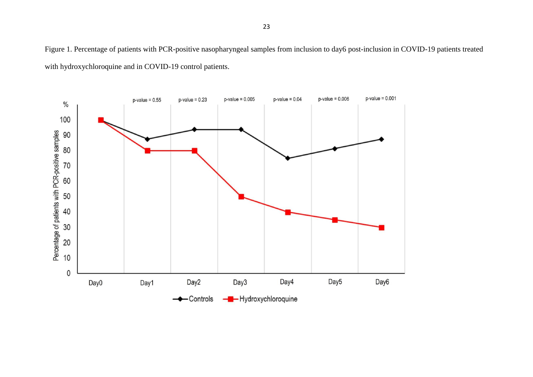Figure 1. Percentage of patients with PCR-positive nasopharyngeal samples from inclusion to day6 post-inclusion in COVID-19 patients treated with hydroxychloroquine and in COVID-19 control patients.